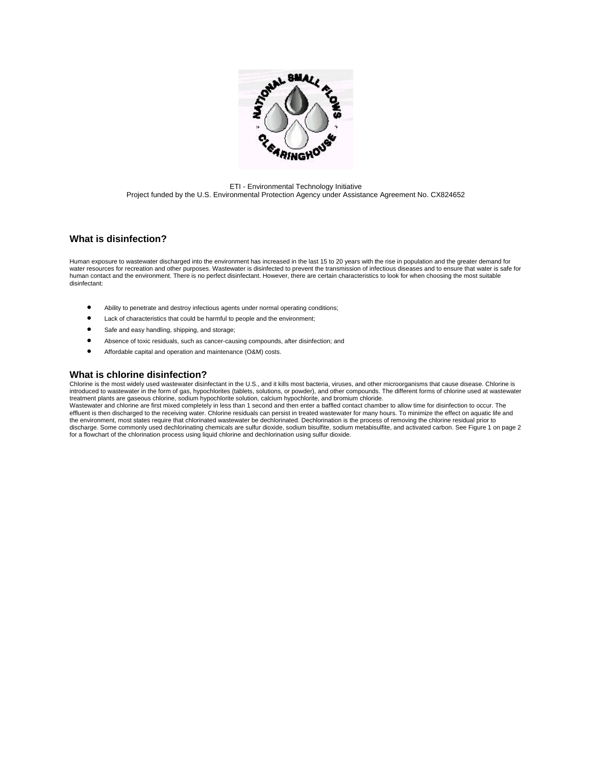

ETI - Environmental Technology Initiative Project funded by the U.S. Environmental Protection Agency under Assistance Agreement No. CX824652

## **What is disinfection?**

Human exposure to wastewater discharged into the environment has increased in the last 15 to 20 years with the rise in population and the greater demand for water resources for recreation and other purposes. Wastewater is disinfected to prevent the transmission of infectious diseases and to ensure that water is safe for human contact and the environment. There is no perfect disinfectant. However, there are certain characteristics to look for when choosing the most suitable disinfectant:

- Ability to penetrate and destroy infectious agents under normal operating conditions;
- Lack of characteristics that could be harmful to people and the environment;
- Safe and easy handling, shipping, and storage;
- Absence of toxic residuals, such as cancer-causing compounds, after disinfection; and
- Affordable capital and operation and maintenance (O&M) costs.

## **What is chlorine disinfection?**

Chlorine is the most widely used wastewater disinfectant in the U.S., and it kills most bacteria, viruses, and other microorganisms that cause disease. Chlorine is introduced to wastewater in the form of gas, hypochlorites (tablets, solutions, or powder), and other compounds. The different forms of chlorine used at wastewater treatment plants are gaseous chlorine, sodium hypochlorite solution, calcium hypochlorite, and bromium chloride. Wastewater and chlorine are first mixed completely in less than 1 second and then enter a baffled contact chamber to allow time for disinfection to occur. The effluent is then discharged to the receiving water. Chlorine residuals can persist in treated wastewater for many hours. To minimize the effect on aquatic life and the environment, most states require that chlorinated wastewater be dechlorinated. Dechlorination is the process of removing the chlorine residual prior to discharge. Some commonly used dechlorinating chemicals are sulfur dioxide, sodium bisulfite, sodium metabisulfite, and activated carbon. See Figure 1 on page 2 for a flowchart of the chlorination process using liquid chlorine and dechlorination using sulfur dioxide.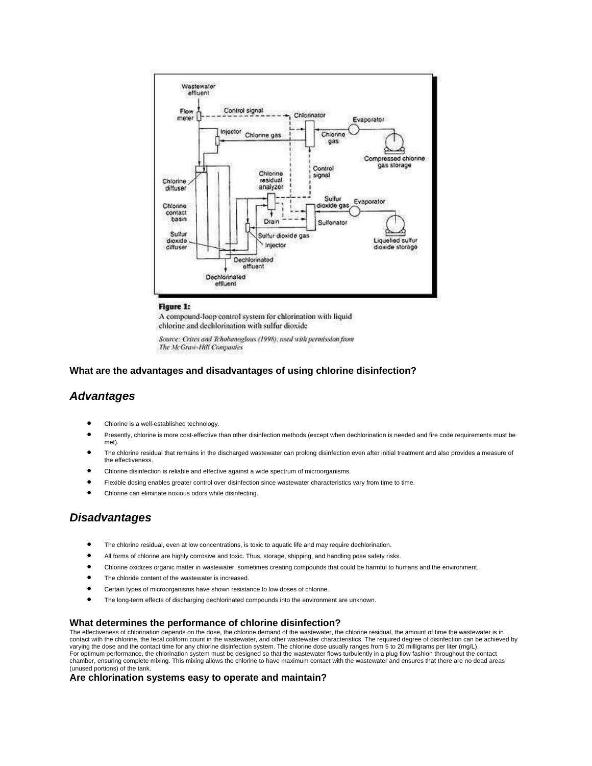

#### **Figure 1:**

A compound-loop control system for chlorination with liquid chlorine and dechlorination with sulfur dioxide

Source: Crites and Tchobanoglous (1998), used with permission from The McGraw-Hill Companies

## **What are the advantages and disadvantages of using chlorine disinfection?**

## *Advantages*

- Chlorine is a well-established technology.
- Presently, chlorine is more cost-effective than other disinfection methods (except when dechlorination is needed and fire code requirements must be met).
- The chlorine residual that remains in the discharged wastewater can prolong disinfection even after initial treatment and also provides a measure of the effectiveness.
- Chlorine disinfection is reliable and effective against a wide spectrum of microorganisms.
- Flexible dosing enables greater control over disinfection since wastewater characteristics vary from time to time.
- Chlorine can eliminate noxious odors while disinfecting.

# *Disadvantages*

- The chlorine residual, even at low concentrations, is toxic to aquatic life and may require dechlorination.
- All forms of chlorine are highly corrosive and toxic. Thus, storage, shipping, and handling pose safety risks.
- Chlorine oxidizes organic matter in wastewater, sometimes creating compounds that could be harmful to humans and the environment.
- The chloride content of the wastewater is increased.
- Certain types of microorganisms have shown resistance to low doses of chlorine.
- The long-term effects of discharging dechlorinated compounds into the environment are unknown.

### **What determines the performance of chlorine disinfection?**

The effectiveness of chlorination depends on the dose, the chlorine demand of the wastewater, the chlorine residual, the amount of time the wastewater is in contact with the chlorine, the fecal coliform count in the wastewater, and other wastewater characteristics. The required degree of disinfection can be achieved by varying the dose and the contact time for any chlorine disinfection system. The chlorine dose usually ranges from 5 to 20 milligrams per liter (mg/L). For optimum performance, the chlorination system must be designed so that the wastewater flows turbulently in a plug flow fashion throughout the contact chamber, ensuring complete mixing. This mixing allows the chlorine to have maximum contact with the wastewater and ensures that there are no dead areas (unused portions) of the tank.

### **Are chlorination systems easy to operate and maintain?**